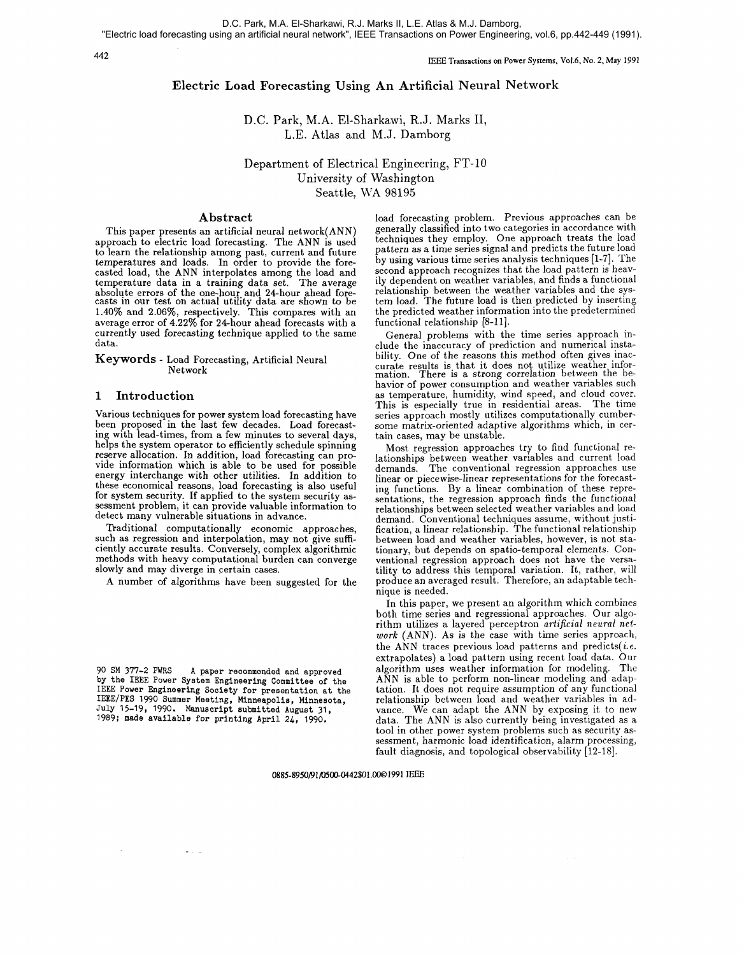## 442

IEEE Transadions on Power Systems, Vo1.6, No. **2,** May 1991

# Electric Load Forecasting Using An Artificial Neural Network

D.C. Park, M.A. El-Sharkawi, R.J. Marks 11, L.E. Atlas and M.J. Damborg

Department of Electrical Engineering, FT-10 University of Washington Seattle, WA 98195

## Abstract

This paper presents an artificial neural network(ANN) approach to electric load forecasting. The ANN is used to learn the relationship among past, current and future temperatures and loads. In order to provide the forecasted load, the ANN interpolates among the load and temperature data in a training data set. The average absolute errors of the one-hour and 24-hour ahead fore-casts in our test on actual utility data are shown to be 1.40% and 2.06%, respectively. This compares with an currently used forecasting technique applied to the same data.

Keywords - Load Forecasting, Artificial Neural Network

# **1** Introduction

Various techniques for power system load forecasting have been proposed in the last few decades. Load forecasting with lead-times, from a few minutes to several days, reserve allocation. In addition, load forecasting can provide information which is able to be used for possible energy interchange with other utilities. In addition to these economical reasons, load forecasting is also useful for system security. If applied to the system security assessment problem, it can provide valuable information to detect many vulnerable situations in advance.

Traditional computationally economic approaches, such as regression and interpolation, may not give sufficiently accurate results. Conversely, complex algorithmic methods with heavy computational burden can converge slowly and may diverge in certain cases.

A number of algorithms have been suggested for the

90 SM 377-2 PWRS **A** paper recommended and approved by the IEEE Power System Engineering Committee of the IEEE Power Engineering Society for presentation at the IEEE/PES 1990 Summer Meeting, Minneapolis, Minnesota, July 15-19, 1990. Manuscript submitted August 31, 1989; made available for printing April 24, 1990.

 $\frac{1}{2} \left( \frac{1}{2} \right) \left( \frac{1}{2} \right) = \frac{1}{2}$ 

load forecasting problem. Previous approaches can be generally classified into two categories in accordance with techniques they employ. One approach treats the load pattern as a time series signal and predicts the future load by using various time series analysis techniques [I-71. The second approach recognizes that the load pattern is heavily dependent on weather variables, and finds a functional relationship between the weather variables and the system load. The future load is then predicted by inserting the predicted weather information into the predetermined functional relationship [8-11].

General problems with the time series approach include the inaccuracy of prediction and numerical instability. One of the reasons this method often gives inaccurate results is that it does not utilize weather infor-<br>mation. There is a strong correlation between the behavior of power consumption and weather variables such as temperature, humidity, wind speed, and cloud cover. This is especially true in residential areas. The time series approach mostly utilizes computationally cumbersome matrix-oriented adaptive algorithms which, in cer- tain cases, may be unstable.

Most regression approaches try to find functional relationships between weather variables and current load demands. The conventional regression approaches use linear or piecewise-linear representations for the forecasting functions. By a linear combination of these representations, the regression approach finds the functional relationships between selected weather variables and load demand. Conventional techniques assume, without justification, a linear relationship. The functional relationship between load and weather variables, however, is not stationary, but depends on spatio-temporal elements. Conventional regression approach does not have the versatility to address this temporal variation. It, rather, will produce an averaged result. Therefore, an adaptable techniaue is needed.

In this paper, we present an algorithm which combines both time series and regressional approaches. Our algorithm utilizes a layered perceptron artificial neural net**work** (ANN). As is the case with time series approach, the ANN traces previous load patterns and predicts(*i.e.* extrapolates) a load pattern using recent load data. Our algorithm uses weather information for modeling. ANN is able to perform non-linear modeling and adaptation. It does not require assumption of any functional vance. We can adapt the ANN by exposing it to new<br>data. The ANN is also currently being investigated as a<br>tool in other power system problems such as security as-<br>sessment, harmonic load identification, alarm processing, fault diagnosis, and topological observability [12-181.

**0885-8950191/0500-0442\$o1.0001991** IEEE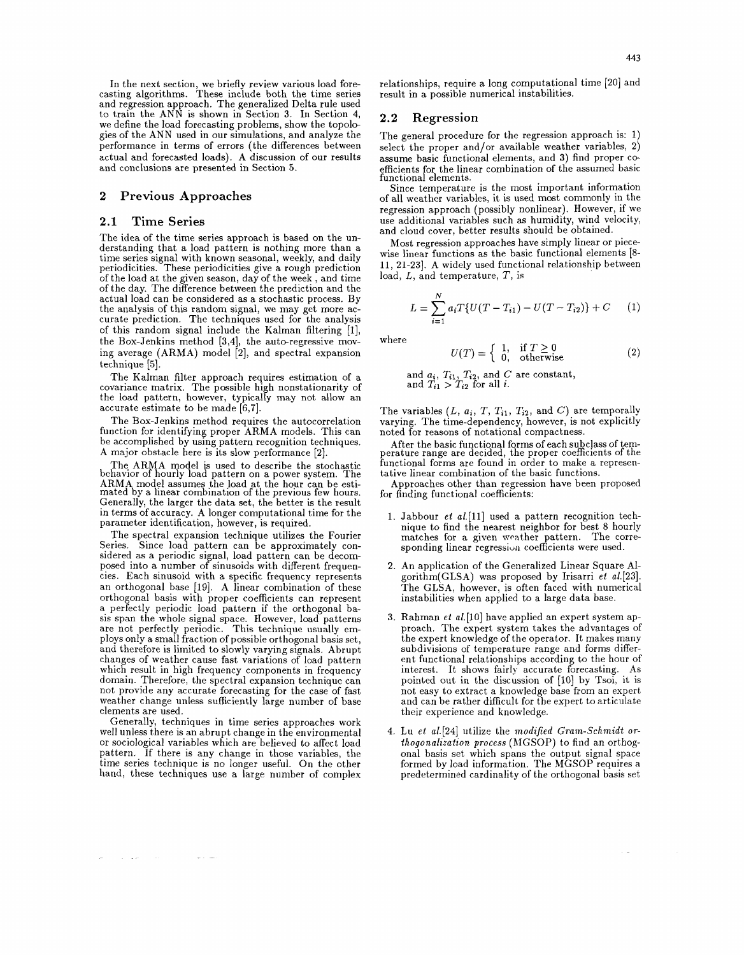In the next section, we briefly review various load forecasting algorithms. These include both the time series and regression approach. The generalized Delta rule used<br>to train the ANN is shown in Section 3. In Section 4, we define the load forecasting problems, show the topologies of the ANN used in our simulations, and analyze the performance in terms of errors (the differences between actual and forecasted loads). A discussion of our results and conclusions are presented in Section **5.** 

### **2 Previous Approaches**

## **2.1 Time Series**

The idea of the time series approach is based on the un-<br>derstanding that a load pattern is nothing more than a<br>time series signal with known seasonal, weekly, and daily periodicities. These periodicities give a rough prediction of the load at the given season, day of the week , and time of the day. The difference between the prediction and the actual load can be considered as a stochastic process. By curate prediction. The techniques used for the analysis of this random signal include the Kalman filtering [I], the Box-Jenkins method [3,4], the auto-regressive moving average (ARMA) model [2], and spectral expansion mg average (1)<br>technique [5].

The Kalman filter approach requires estimation of a covariance matrix. The possible high nonstationarity of the load pattern, however, typically may not allow an accurate estimate to be made [6,7].

The Box-Jenkins method requires the autocorrelation function for identifying proper ARMA models. This can be accomplished by using pattern recognition techniques. A major obstacle here is its slow performance [2].

The ARMA model is used to describe the stochastic behavior of hourly load pattern on a power system. The ARMA model assumes the load at the hour can be esti-mated by a linear combination of the previous few hours. Generally, the larger the data set, the better is the result in terms of accuracy. A longer computational time for the parameter identification, however, is required.

The spectral expansion technique utilizes the Fourier Series. Since load pattern can be approximately con- sidered as a periodic signal, load pattern can be decomposed into a number of sinusoids with different frequencies. Each sinusoid with a specific frequency represents an orthogonal base [19]. A linear combination of these orthogonal basis with proper coefficients can represent a perfectly periodic load pattern if the orthogonal basis span the whole signal space. However, load patterns are not perfectly periodic. This technique usually employs only a small fraction of possible orthogonal basis set, and therefore is limited to slowly varying signals. Abrupt changes of weather cause fast variations of load pattern which result in high frequency components in frequency domain. Therefore, the spectral expansion technique can not provide any accurate forecasting for the case of fast weather change unless sufficiently large number of base elements are used.

Generally, techniques in time series approaches work well unless there is an abrupt change in the environmental or sociological variables which are believed to affect load pattern. If there is any change in those variables, the time series technique is no longer useful. On the other hand, these techniques use a large number of complex

 $\sim 100$   $\sim$ 

and the same of the

### **2.2 Regression**

The general procedure for the regression approach is: 1) select the proper and/or available weather variables, 2) assume basic functional elements, and 3) find proper coefficients for the linear combination of the assumed basic functional elements.

Since temperature is the most important information of all weather variables, it is used most commonly in the regression approach (possibly nonlinear). However, if we use additional variables such **as** humidity, wind velocity, and cloud cover, better results should be obtained.

Most regression approaches have simply linear or piecewise linear functions as the basic functional elements [8- 11, 21-23]. A widely used functional relationship between load, L, and temperature, T, is

$$
L = \sum_{i=1}^{N} a_i T \{ U(T - T_{i1}) - U(T - T_{i2}) \} + C \tag{1}
$$

where

$$
U(T) = \begin{cases} 1, & \text{if } T \ge 0 \\ 0, & \text{otherwise} \end{cases}
$$
 (2)

and  $a_i$ ,  $T_{i1}$ ,  $T_{i2}$ , and  $C$  are constant, and  $T_{i1} > T_{i2}$  for all *i*.

The variables  $(L, a_i, T, T_{i1}, T_{i2}, \text{ and } C)$  are temporally varying. The time-dependency, however, is not explicitly noted for reasons of notational compactness.

After the basic functional forms of each subclass of tem-perature range are decided, the proper coefficients of the functional forms are found in order to make a representative linear combination of the basic functions.

Approaches other than regression have been proposed for finding functional coefficients:

- 1. Jabbour *et* al.[ll] used a pattern recognition technique to find the nearest neighbor for best 8 hourly matches for a given weather pattern. The corre- sponding linear regressiuu coefficients were used.
- 2. An application of the Generalized Linear Square Algorithm(GLSA) was proposed by Irisarri *et* a1.[23]. The GLSA, however, is often faced with numerical instabilities when applied to a large data base.
- **3.** Rahman *et* a1.[10] have applied an expert system approach. The expert system takes the advantages of the expert knowledge of the operator. It makes many subdivisions of temperature range and forms different functional relationships according to the hour of interest. It shows fairly accurate forecasting. As pointed out in the discussion of [lo] by Tsoi, it is not easy to extract a knowledge base from an expert and can be rather difficult for the expert to articulate their experience and knowledge.
- **4.** Lu et al.[24] utilize the modified Gram-Schmidt orthogonalization process (MGSOP) to find an orthogonal basis set which spans the output signal space formed by load information. The MGSOP requires a predetermined cardinality of the orthogonal basis set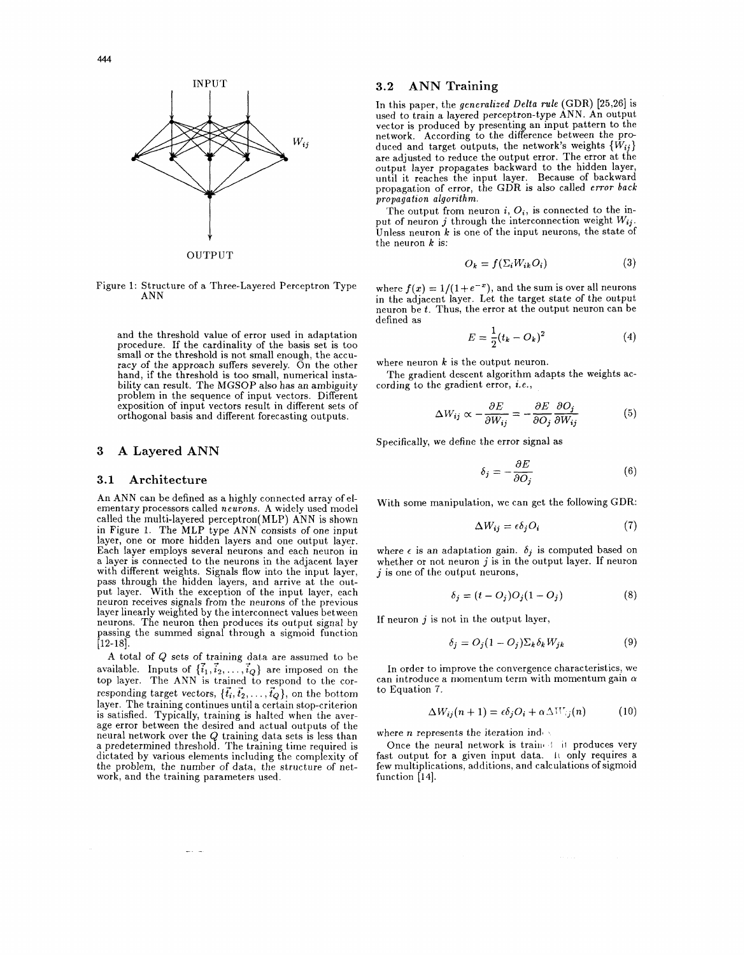



Figure 1: Structure of a Three-Layered Perceptron Type ANN

and the threshold value of error used in adaptation procedure. If the cardinality of the basis set is too small or the threshold is not small enough, the accuracy of the approach suffers severely. On the other hand, if the threshold is too small, numerical instability can result. The MGSOP also has an ambiguity problem in the sequence of input vectors. Different exposition of input vectors result in different sets of orthogonal basis and different forecasting outputs.

## **3 A Layered ANN**

### **3.1 Architecture**

An ANN can be defined as a highly connected array of elementary processors called neurons. A widely used model called the multi-layered perceptron(MLP) ANN is shown in Figure 1. The MLP type ANN consists of one input layer, one or more hidden layers and one output layer.<br>Each layer employs several neurons and each neuron in a layer is connected to the neurons in the adjacent layer with different weights. Signals flow into the input layer, pass through the hidden layers, and arrive at the output layer. With the exception of the input layer, each neuron receives signals from the neurons of the previous layer linearly weighted by the interconnect values between neurons. The neuron then produces its output signal by passing the summed signal through a sigmoid function  $[12-18]$ 

A total of Q sets of training data are assumed to be available. Inputs of  $\{\vec{i}_1, \vec{i}_2, \ldots, \vec{i}_Q\}$  are imposed on the top layer. The ANN is trained to respond to the corresponding target vectors,  $\{\vec{t}_i, \vec{t}_2, \ldots, \vec{t}_Q\}$ , on the bottom layer. The training continues until a certain stop-criterion is satisfied. Typically, training is halted when the aver- age error between the desired and actual outputs of the neural network over the Q training data sets is less than a predetermined threshold. The training time required is dictated by various elements including the complexity of the problem, the number of data, the structure of network, and the training parameters used.

In this paper, the generalized Delta rule (GDR) [25,26] is used to train a layered perceptron-type ANN. An output vector is produced by presenting an input pattern to the network. According to the difference between the produced and target outputs, the network's weights  $\{W_{ij}\}$ are adjusted to reduce the output error. The error at the output layer propagates backward to the hidden layer, until it reaches the input layer. Because of backward propagation of error, the GDR is also called error back propagation algorithm.

The output from neuron i,  $O_i$ , is connected to the input of neuron  $j$  through the interconnection weight  $W_{ij}$ . Unless neuron  $k$  is one of the input neurons, the state of the neuron  $k$  is:

$$
O_k = f(\Sigma_i W_{ik} O_i) \tag{3}
$$

where  $f(x) = 1/(1 + e^{-x})$ , and the sum is over all neurons in the adjacent layer. Let the target state of the output neuron be *t.* Thus, the error at the output neuron can be defined as

$$
E = \frac{1}{2}(t_k - O_k)^2 \tag{4}
$$

where neuron  $k$  is the output neuron.

The gradient descent algorithm adapts the weights according to the gradient error, *i.e.*,

$$
\Delta W_{ij} \propto -\frac{\partial E}{\partial W_{ij}} = -\frac{\partial E}{\partial O_j} \frac{\partial O_j}{\partial W_{ij}} \tag{5}
$$

Specifically, we define the error signal as

$$
\delta_j = -\frac{\partial E}{\partial O_j} \tag{6}
$$

With some manipulation, we can get the following GDR:

$$
\Delta W_{ij} = \epsilon \delta_j O_i \tag{7}
$$

where  $\epsilon$  is an adaptation gain.  $\delta_j$  is computed based on whether or not neuron  $i$  is in the output layer. If neuron  $j$  is one of the output neurons,

$$
\delta_j = (t - O_j)O_j(1 - O_j) \tag{8}
$$

If neuron  $j$  is not in the output layer,

$$
\delta_j = O_j(1 - O_j) \Sigma_k \delta_k W_{jk} \tag{9}
$$

In order to improve the convergence characteristics, we can introduce a momentum term with momentum gain  $\alpha$ to Equation 7.

$$
\Delta W_{ij}(n+1) = \epsilon \delta_j O_i + \alpha \Delta W_{ij}(n) \tag{10}
$$

where *n* represents the iteration index

Once the neural network is trained it produces very fast output for a given input data. It only requires a few multiplications, additions, and calculations of sigmoid function [14].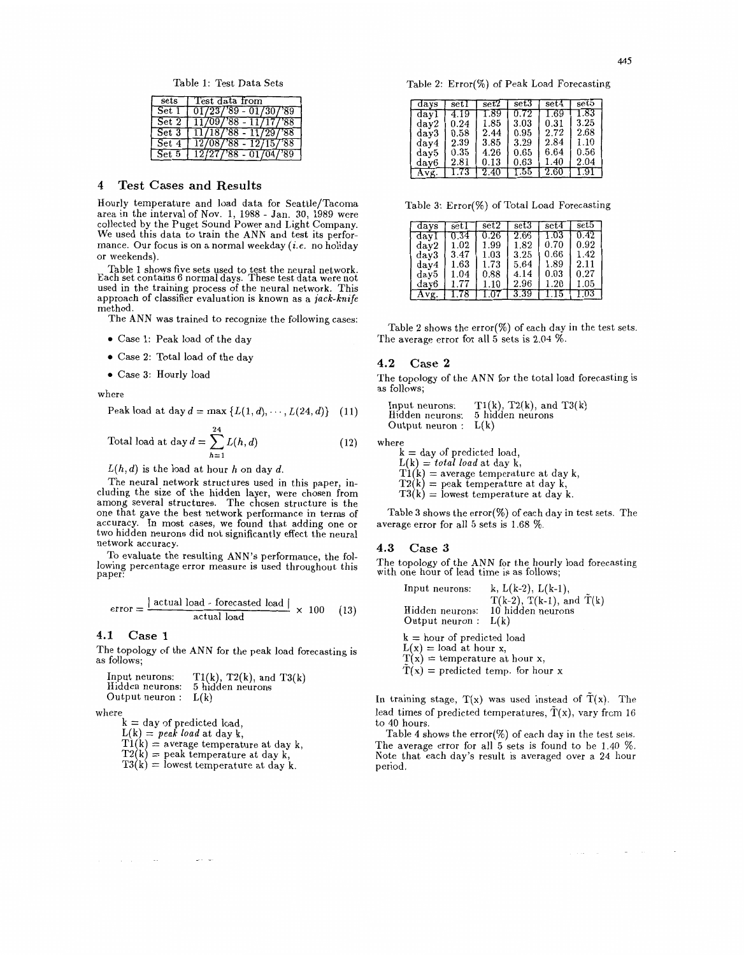Table 1: Test Data Sets

| sets     | Test data from                   |
|----------|----------------------------------|
| Set I    | $01/23/89 - 01/30/89$            |
|          | Set $2 \mid 11/09/88 - 11/17/88$ |
|          | Set $3 [11/18/88 - 11/29/88]$    |
| Set 4    | $12/08/88 - 12/15/88$            |
| $Set\,5$ | $12/27/88 - 01/04/89$            |

## **4 Test Cases and Results**

Hourly temperature and load data for Seattle/Tacoma area in the interval of Nov. 1, 1988 - Jan. 30, 1989 were collected by the Puget Sound Power and Light Company. We used this data to train the ANN and test its performance. Our focus is on a normal weekday  $(i.e.$  no holiday or weekends).

Table 1 shows five sets used to test the neural network. Each set contains 6 normal days. These test data were not used in the training process of the neural network. This approach of classifier evaluation is known as a jack-knife method.

The ANN was trained to recognize the following cases:

- Case 1: Peak load of the day
- Case 2: Total load of the day
- Case **3:** Hourly load

where

Peak load at day 
$$
d = \max \{L(1, d), \cdots, L(24, d)\}
$$
 (11)

Total load at day 
$$
d = \sum_{h=1}^{24} L(h, d)
$$
 (12)

 $L(h, d)$  is the load at hour h on day d.

The neural network structures used in this paper, including the size of the hidden layer, were chosen from among several structures. The chosen structure is the one that gave the best network performance in terms of accuracy. In most cases, we found that adding one or two hidden neurons did not significantly effect the neural network accuracy.

To evaluate the resulting ANN'S performance, the following percentage error measure is used throughout this paper:

$$
error = \frac{|\text{actual load - forecasted load}|}{\text{actual load}} \times 100 \quad (13)
$$

**4.1 Case 1** 

The topology of the ANN for the peak load forecasting is as follows;



where

 $k = day$  of predicted load,

 $L(k) =$  peak load at day k,

 $\sim$ 

 $T1(k)$  = average temperature at day k,  $T2(k)$  = peak temperature at day k,  $T3(k)$  = lowest temperature at day k.

Table 2: Error(%) of Peak Load Forecasting

| days | setl | $\operatorname{set2}$ | $_{\rm set3}$ | $\mathrm{set}4$ | set5 |
|------|------|-----------------------|---------------|-----------------|------|
| day1 | 4.19 | 1.89                  | 0.72          | 1.69            | 1.83 |
| day2 | 0.24 | $1.85\,$              | 3.03          | 0.31            | 3.25 |
| day3 | 0.58 | 2.44                  | 0.95          | 2.72            | 2.68 |
| day4 | 2.39 | 3.85                  | 3.29          | 2.84            | 1.10 |
| day5 | 0.35 | 4.26                  | 0.65          | 6.64            | 0.56 |
| day6 | 2.81 | 0.13                  | 0.63          | 1.40            | 2.04 |
| Avg. | 1.73 | 2.40                  | 1.55          | 2.60            | (.9) |

Table **3:** Error(%) of Total Load Forecasting

| days | set l    | set2      | set3     | set4      | set5     |
|------|----------|-----------|----------|-----------|----------|
| day  |          | $0.26\,$  | $2.66\,$ | $_{1.03}$ | 0.42     |
| day2 | $1.02\,$ | 1.99      | 1.82     | 0.70      | 0.92     |
| day3 | 3.47     | $_{1.03}$ | 3.25     | 0.66      | 1.42     |
| day4 | $1.63\,$ | $1.73\,$  | 5.64     | 1.89      | 2.11     |
| day5 | $1.04\,$ | $_{0.88}$ | 4.14     | 0.03      | 0.27     |
| day6 | 177      | 1.10      | 2.96     | $1.20\,$  | 1.05     |
|      |          |           | 3.39     |           | $_{.03}$ |

Table 2 shows the error(%) of each day in the test sets. The average error for all **5** sets is 2.04 %.

### **4.2 Case 2**

The topology of the ANN for the total load forecasting is as follows;

Input neurons:  $T1(k)$ ,  $T2(k)$ , and  $T3(k)$ <br>Hidden neurons: 5 hidden neurons 5 hidden neurons Output neuron :  $L(k)$ 

where

 $k =$  day of predicted load,<br> $L(k) = total \ load$  at day k,  $T(k) =$  average temperature at day k,  $T2(k) =$  peak temperature at day k,  $T3(k) =$  lowest temperature at day k.

Table **3** shows the error(%) of each day in test sets. The average error for all 5 sets is 1.68 %.

### **4.3 Case 3**

The topology of the ANN for the hourly load forecasting with one hour of lead time is as follows;

Input neurons:  $k, L(k-2), L(k-1),$ T(k-2), T(k-1), and  $\tilde{T}(k)$  $Hidden$  neurons: 10 h<br>Output neuron :  $L(k)$ 10 hidden neurons k = hour of predicted load  $L(x) =$  load at hour x,  $T(x) =$  temperature at hour x,  $\tilde{T}(x)$  = predicted temp. for hour x

In training stage,  $T(x)$  was used instead of  $T(x)$ . The lead times of predicted temperatures,  $\tilde{T}(x)$ , vary from 16 to 40 hours.

Table 4 shows the error(%) of each day in the test sets. The average error for all 5 sets is found to be 1.40 %. Note that each day's result is averaged over a 24 hour period.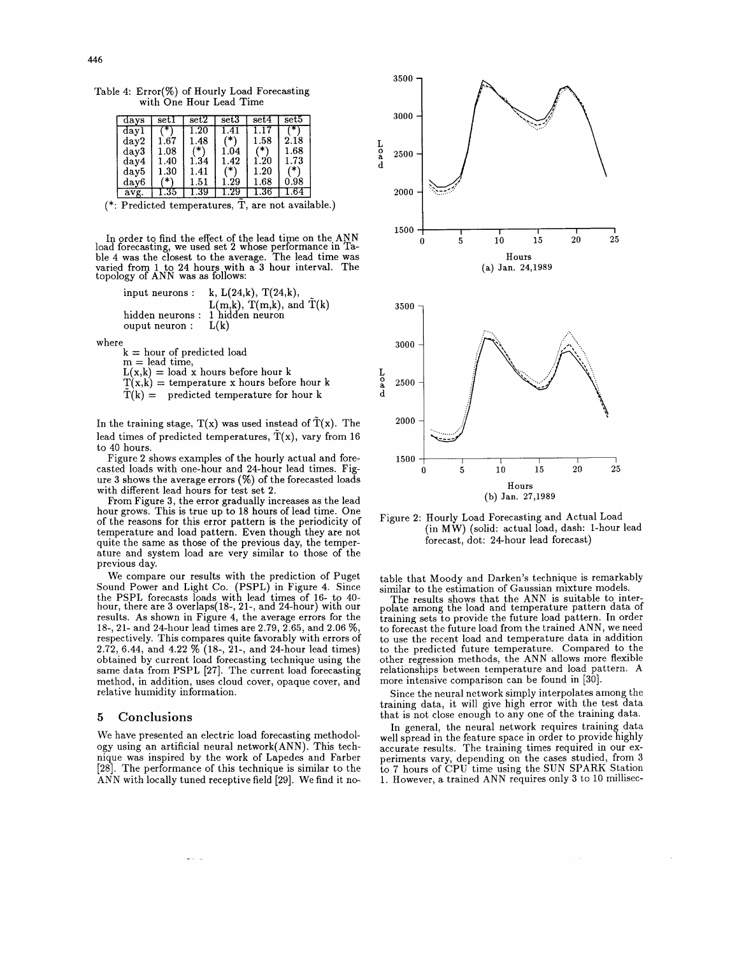Table 4: Error(%) of Hourly Load Forecasting with One Hour Lead Time

| days | setl          | set2     | set3 | set4     | set5.     |
|------|---------------|----------|------|----------|-----------|
| dayl |               | $1.20\,$ | 1.41 | $\Box$   |           |
| day2 | 1.67          | $1.48\,$ |      | $1.58\,$ | 2.18      |
| day3 | $_{1.08}$     |          | 1.04 |          | $_{1.68}$ |
| day4 | 1.40          | 1.34     | 1.42 | $1.20\,$ | $1.73\,$  |
| day5 | $_{\rm 1.30}$ | 1.41     | `*`  | 1.20     |           |
| day6 | ∗             | 1.51     | 1.29 | 1.68     | 0.98      |
| avg. | . 35          | -39      |      | .36      |           |

 $(*: Predicted temperatures, \tilde{T}, are not available.)$ 

In order to find the effect of the lead time on the. ANN load forecastmg, we used set 2 whose performance in Table 4 was the closest to the average. The lead time was varied from 1 to 24 hours with a 3 hour interval. The topology of ANN was as follows:

input neurons : k,  $L(24,k)$ ,  $T(24,k)$ ,  $L(m,k)$ , T(m,k), and  $\tilde{T}(k)$ hidden neurons : 1 hidden neuron ouput neuron :  $L(k)$ 

where

 $k = hour$  of predicted load  $m = lead$  time,  $L(x,k) =$  load x hours before hour k  $T(x, k)$  = temperature x hours before hour k

 $\tilde{T}(k) =$  predicted temperature for hour k

In the training stage,  $T(x)$  was used instead of  $T(x)$ . The lead times of predicted temperatures,  $\tilde{T}(x)$ , vary from 16 to 40 hours.

Figure 2 shows examples of the hourly actual and forecasted loads with one-hour and 24-hour lead times. Figure 3 shows the average errors (%) of the forecasted loads with different lead hours for test set 2.

From Figure 3, the error gradually increases as the lead hour grows. This is true up to 18 hours of lead time. One of the reasons for this error pattern is the periodicity of temperature and load pattern. Even though they are not quite the same as those of the previous day, the temperature and system load are very similar to those of the previous day.

We compare our results with the prediction of Puget Sound Power and Light Co. (PSPL) in Figure 4. Since the PSPL forecasts loads with lead times of 16- to 40- hour, there are 3 overlaps(l8-, 21-, and 24-hour) with our results. As shown in Figure 4, the average errors for the 18-, 21- and 24-hour lead times are 2.79, 2.65, and 2.06 %, respectively. This compares quite favorably with errors of 2.72, 6.44, and 4.22  $\%$  (18-, 21-, and 24-hour lead times) obtained by current load forecasting technique using the same data from PSPL [27]. The current load forecasting method, in addition, uses cloud cover, opaque cover, and relative humidity information.

## **5 Conclusions**

We have presented an electric load forecasting methodology using an artificial neural network(ANN). This technique was inspired by the work of Lapedes and Farber [28]. The performance of this technique is similar to the **ANN** with locally tuned receptive field [29]. We find it no-

 $\frac{1}{2}$ 



Figure 2: Hourly Load Forecasting and Actual Load (in MW) (solid: actual load, dash: 1-hour lead forecast, dot: 24hour lead forecast)

table that Moody and Darken's technique is remarkably similar to the estimation of Gaussian mixture models.

The results shows that the ANN is suitable to inter-polate among the load and temperature pattern data of training sets to provide the future load pattern. In order to forecast the future load from the trained ANN, we need to use the recent load and temperature data in addition to the predicted future temperature. Compared to the other regression methods, the ANN allows more flexible relationships between temperature and load pattern. A more intensive comparison can be found in [30].

Since the neural network simply interpolates among the training data, it will give high error with the test data that is not close enough to any one of the training data.

In general, the neural network requires training data well spread in the feature space in order to provide highly accurate results. The training times required in our exaccurate results. The training times required in our ex- periments vary, depending on the cases studied, from 3 to 7 hours of CPU time using the SUN SPARK Station 1. However, a trained **ANN** requires only 3 to 10 millisec-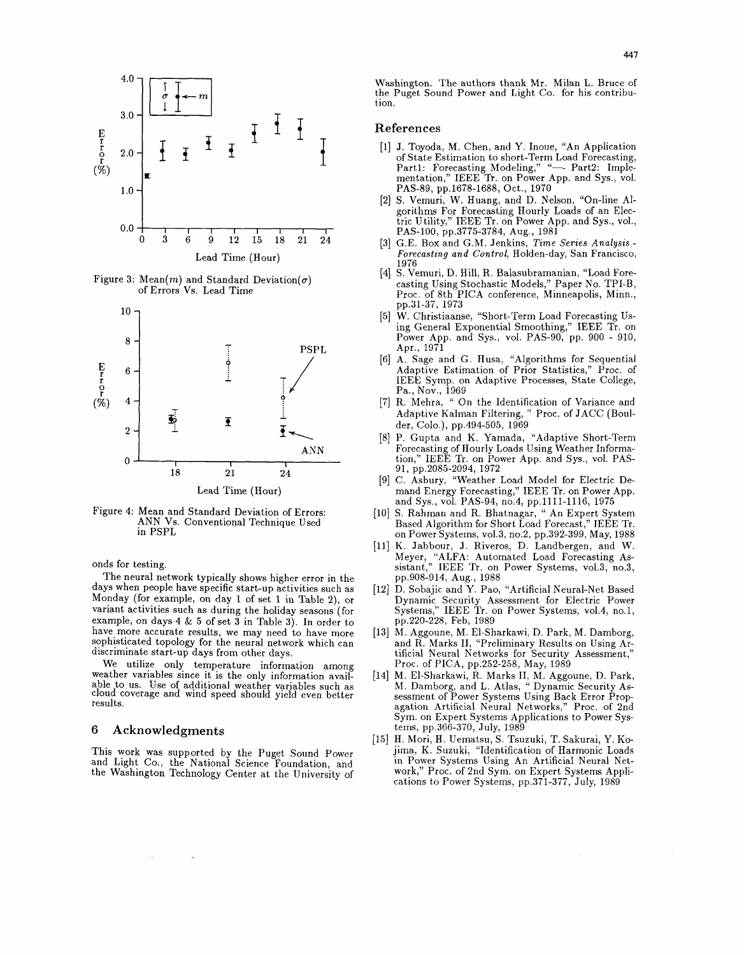

Figure 3: Mean(m) and Standard Deviation( $\sigma$ ) of Errors Vs. Lead Time



Figure 4: Mean and Standard Deviation of Errors: ANN Vs. Conventional Technique Used in PSPL

onds for testing.

The neural network typically shows higher error in the days when people have specific start-up activities such as Monday (for example, on day 1 of set 1 in Table 2), or variant activities such as during the holiday seasons (for example, on days 4  $&$  5 of set  $\tilde{3}$  in Table 3). In order to have more accurate results, we may need to have more sophisticated topology for the neural network which can discriminate start-up days from other days.

We utilize only temperature information among weather variables since it is the only information available to us. Use of additional weather variables such as cloud coverage and wind speed should yield even better results.

### **6 Acknowledgments**

 $\sim$ 

This work was supported by the Puget Sound Power and Light Co., the National Science Foundation, and the Washington Technology Center at the University of

Washington. The authors thank Mr. Milan L. Bruce of the Puget Sound Power and Light Co. for his contribution.

## **References**

- [I] J. Toyoda, M. Chen, and Y. Inoue, "An Application of State Estimation to short-Term Load Forecasting, Part1: Forecasting Modeling," "- Part2: Implementation," IEEE **Tr.** on Power App. and Sys., vol. PAS-89, pp.1678-1688, Oct., 1970
- [2] S. Vemuri, W. Huang, and D. Nelson, "On-line Algorithms For Forecasting Hourly Loads of an Electric Utility," IEEE Tr. on Power App. and Sys., vol., PAS-100, pp.3775-3784, Aug., 1981
- [3] G.E. Box and G.M. Jenkins, Time Series Analysis Forecasting and Control, Holden-day, San Francisco,
- 1976 [4] S. Vemuri, D. Hill, R. Balasubramanian, "Load Forecasting Using Stochastic Models," Paper No. TPI-B, Proc. of 8th PICA conference, Minneapolis, Minn., pp.31-37, 1973
- [5] W. Christiaanse, "Short-Term Load Forecasting Using General Exponential Smoothing," IEEE Tr. on Power App. and Sys., vol. PAS-90, pp. 900 - 910, Apr., 1971
- [6] A. Sage and G. Husa, "Algorithms for Sequential Adaptive Estimation of Prior Statistics," Proc. of IEEE Symp. on Adaptive Processes, State College, Pa., Nov., 1969
- [7] R. Mehra, " On the Identification of Variance and Adaptive Kalman Filtering, " Proc. of JACC (Boulder, Colo.), pp.494505, 1969
- [8] P. Gupta and K. Yamada, "Adaptive Short-Term Forecasting of Hourly Loads Using Weather Information," IEEE Tr. on Power App. and Sys., vol. PAS-91, pp.2085-2094, 1972
- [9] C. Asbury, "Weather Load Model for Electric Demand Energy Forecasting," IEEE Tr. on Power App. and Sys., vol. PAS-94, no.4, pp.1111-1116, 1975
- [10] S. Rahman and R. Bhatnagar, " An Expert System Based Algorithm for Short Load Forecast," IEEE Tr. on Power Systems, vo1.3, no.2, pp.392-399, May, 1988
- [11] K. Jabbour, J. Riveros, D. Landbergen, and W. Meyer, "ALFA: Automated Load Forecasting As-sistant," IEEE Tr. on Power Systems, vo1.3, no.3, pp.908-014, Aug., 1988
- [12] D. Sobajic and Y. Pao, "Artificial Neural-Net Based Dynamic Security Assessment for Electric Power Systems," IEEE Tr. on Power Systems, vo1.4, no.1, pp.220-228, Feb, 1989
- [13] M. Aggoune, M. El-Sharkawi, D. Park, M. Damborg, and R. Marks 11, "Preliminary Results on Using Artificial Neural Networks for Security Assessment," Proc. of PICA, pp.252-258, May, 1989
- [14] M. El-Sharkawi, R. Marks 11, **M.** Aggoune, D. Park, M. Damborg, and L. Atlas, " Dynamic Security Assessment of Power Systems Using Back Error Propagation Artificial Neural Networks," Proc. of 2nd Sym. on Expert Systems Applications to Power Systems, pp.366-370, July, 1989
- [15] H. Mori, H. Uematsu, S. Tsuzuki, T. Sakurai, Y. Kojima, K. Suzuki, "Identification of Harmonic Loads in Power Systems Using An Artificial Neural Network," Proc. of 2nd Sym. on Expert Systems Applications to Power Systems, pp.371-377, July, 1989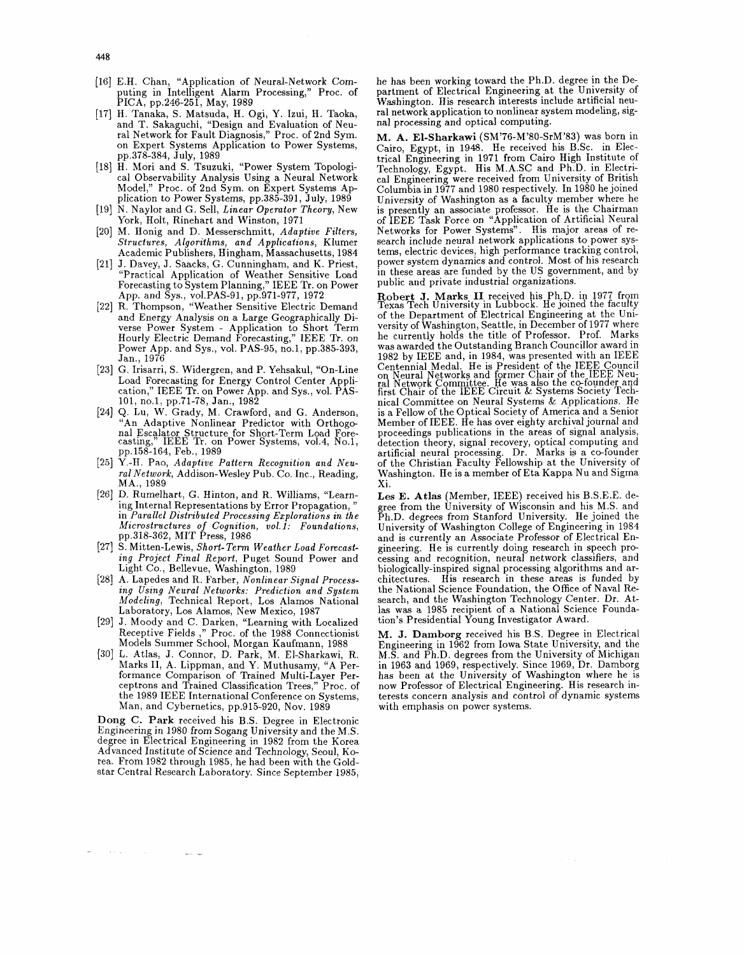- [16] E.H. Chan, "Application of Neural-Network Computing in Intelligent Alarm Processing," Proc. of PICA, pp.246-251, May, 1989
- [17] H. Tanaka, S. Matsuda, H. Ogi, Y. Izui, H. Taoka, and T. Sakaguchi, "Design and Evaluation of Neuon Expert Systems Application to Power Systems, pp.378-384, July, 1989
- [18] H. Mori and S. Tsuzuki, "Power System Topological Observability Analysis Using a Neural Network Model," Proc. of 2nd Sym. on Expert Systems Application to Power Systems, pp.385-391, July, 1989
- [19] N. Naylor and G. Sell, Linear Operator Theory, New York, Holt, Rinehart and Winston, 1971
- [20] M. Honig and D. Messerschmitt, Adaptive Filters, Structures, Algorithms, and Applications, Klumer Academic Publishers, Hingham, Massachusetts, 1984
- [21] J. Davey, J. Saacks, G. Cunningham, and K. Priest, "Practical Application of Weather Sensitive Load Forecasting to System Planning," IEEE Tr. on Power App. and Sys., vol.PAS-91, pp.971-977, 1972
- [22] R. Thompson, "Weather Sensitive Electric Demand and Energy Analysis on a Large Geographically Di- verse Power System - Application to Short Term Hourly Electric Demand Forecasting," IEEE Tr. on Power App. and Sys., vol. PAS-95, no.1, pp.385-393, Jan., 1976
- [23] G. Irisarri, S. Widergren, and P. Yehsakul, "On-Line Load Forecasting for Energy Control Center Application," IEEE Tr. on Power App. and Sys., vol. PAS-101, no.1, pp.71-78, Jan., 1982
- [24] Q. Lu, W. Grady, M. Crawford, and G. Anderson, "An Adaptive Nonlinear Predictor with Orthogonal Escalator Structure for Short-Term Load Fore-casting," IEEE Tr. on Power Systems, vo1.4, No.1, casting," IEEE Tr. on<br>pp.158-164, Feb., 1989
- [25] Y.-H. Pao, Adaptive Pattern Recognition and Neural Network, Addison-Wesley Pub. Co. Inc., Reading, MA., 1989
- [26] D. Rumelhart, G. Hinton, and R. Williams, "Learning Internal Representations by Error Propagation, " in Parallel Distributed Processing Explorations in the Microstructures of Cognition, vol.1: Foundations, pp.318-362, MIT Press, 1986
- [27] S. Mitten-Lewis, Short-Term Weather Load Forecasting Project Final Report, Puget Sound Power and Light Co., Bellevue, Washington, 1989
- [28] A. Lapedes and R. Farber, Nonlinear Signal Processing Using Neural Networks: Prediction and System Modeling, Technical Report, Los Alamos National Laboratory, Los Alamos, New Mexico, 1987
- [29] J. Moody and C. Darken, "Learning with Localized Receptive Fields ," Proc. of the 1988 Connectionist Models Summer School, Morgan Kaufmann, 1988
- [30] L. Atlas, J. Connor, D. Park, M. El-Sharkawi, R. Marks 11, A. Lippman, and Y. Muthusamy, "A Performance Comparison of Trained Multi-Layer Perceptrons and Trained Classification Trees," Proc. of the 1989 IEEE International Conference on Systems, Man, and Cybernetics, pp.915-920, Nov. 1989

**Dong C. Park** received his B.S. Degree in Electronic Engineering in 1980 from Sogang University and the MS. degree in Electrical Engineering in 1982 from the Korea Advanced Institute of Science and Technology, Seoul, Ko- rea. From 1982 through 1985, he had been with the Goldstar Central Research Laboratory. Since September 1985,

 $\sim 100$  and  $\sim 100$ 

he has been working toward the Ph.D. degree in the Department of Electrical Engineering at the University of Washington. His research interests include artificial neural network application to nonlinear system modeling, signal processing and optical computing.

M. A. El-Sharkawi (SM'76-M'80-SrM'83) was born in Cairo, Egypt, in 1948. He received his B.Sc. in Electrical Engineering in 1971 from Cairo High Institute of Technology, Egypt. His M.A.SC and Ph.D. in Electrical Engineering were received from University of British Columbia in 1977 and 1980 respectively. In 1980 he joined University of Washington as a faculty member where he is presently an associate professor. He is the Chairman of IEEE Task Force on "Application of Artificial Neural Networks for Power Systems". His major areas of research include neural network applications to power systems, electric devices, high performance tracking control, power system dynamics and control. Most of his research in these areas are funded by the US government, and by public and private industrial organizations.

**Robert J. Marks I1** received his Ph.D. in 1977 from Texas Tech University in Lubbock. He joined the faculty of the Department of Electrical Engineering at the University of Washington, Seattle, in December of 1977 where<br>he currently holds the title of Professor. Prof. Marks was awarded the Outstanding Branch Councillor award in 1982 by IEEE and, in 1984, was presented with an IEEE Centennial Medal. He is President of the IEEE Council on Neural Networks and former Chair of the IEEE Neu-ral Network Committee. He was also the co-founder and first Chair of the IEEE Circuit & Systems Society Technical Committee on Neural Systems & Applications. He is a Fellow of the Optical Society of America and a Senior Member of IEEE. He has over eighty archival journal and proceedings publications in the areas of signal analysis, detection theory, signal recovery, optical computing and artificial neural processing. Dr. Marks is a cc-founder of the Christian Faculty Fellowship at the University of Washington. He is a member of Eta Kappa Nu and Sigma Xi.

**Les E. Atlas** (Member, IEEE) received his B.S.E.E. degree from the University of Wisconsin and his M.S. and Ph.D. degrees from Stanford University. He joined the University of Washington College of Engineering in 1984 and is currently an Associate Professor of Electrical Engineering. He is currently doing research in speech processing and recognition, neural network classifiers, and biologically-inspired signal processing algorithms and ar- chitectures. His research in these areas is funded by the National Science Foundation, the Office of Naval Research, and the Washington Technology Center. Dr. Atlas was a 1985 recipient of a National Science Foundation's Presidential Young Investigator Award.

**M. J. Damborg** received his B.S. Degree in Electrical Engineering in 1962 from Iowa State University, and the M.S. and Ph.D. degrees from the University of Michigan in 1963 and 1969, respectively. Since 1969, Dr. Damborg how Professor of Electrical Engineering. His research interests concern analysis and control of dynamic systems with emphasis on power systems.